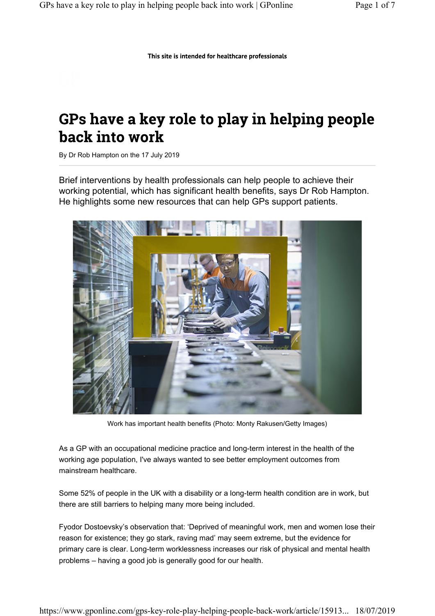This site is intended for healthcare professionals

# GPs have a key role to play in helping people back into work

By Dr Rob Hampton on the 17 July 2019

Brief interventions by health professionals can help people to achieve their working potential, which has significant health benefits, says Dr Rob Hampton. He highlights some new resources that can help GPs support patients.



Work has important health benefits (Photo: Monty Rakusen/Getty Images)

As a GP with an occupational medicine practice and long-term interest in the health of the working age population, I've always wanted to see better employment outcomes from mainstream healthcare.

Some 52% of people in the UK with a disability or a long-term health condition are in work, but there are still barriers to helping many more being included.

Fyodor Dostoevsky's observation that: 'Deprived of meaningful work, men and women lose their reason for existence; they go stark, raving mad' may seem extreme, but the evidence for primary care is clear. Long-term worklessness increases our risk of physical and mental health problems – having a good job is generally good for our health.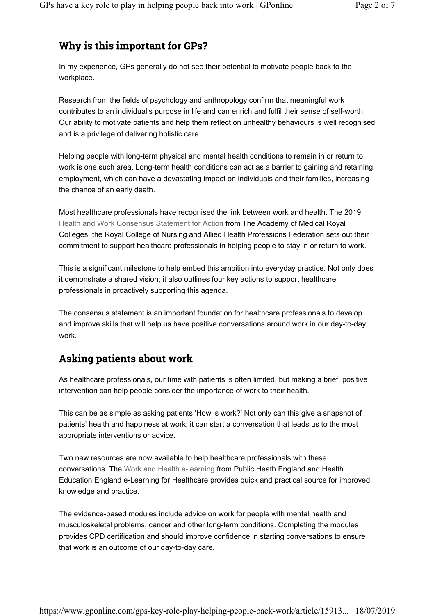### Why is this important for GPs?

In my experience, GPs generally do not see their potential to motivate people back to the workplace.

Research from the fields of psychology and anthropology confirm that meaningful work contributes to an individual's purpose in life and can enrich and fulfil their sense of self-worth. Our ability to motivate patients and help them reflect on unhealthy behaviours is well recognised and is a privilege of delivering holistic care.

Helping people with long-term physical and mental health conditions to remain in or return to work is one such area. Long-term health conditions can act as a barrier to gaining and retaining employment, which can have a devastating impact on individuals and their families, increasing the chance of an early death.

Most healthcare professionals have recognised the link between work and health. The 2019 Health and Work Consensus Statement for Action from The Academy of Medical Royal Colleges, the Royal College of Nursing and Allied Health Professions Federation sets out their commitment to support healthcare professionals in helping people to stay in or return to work.

This is a significant milestone to help embed this ambition into everyday practice. Not only does it demonstrate a shared vision; it also outlines four key actions to support healthcare professionals in proactively supporting this agenda.

The consensus statement is an important foundation for healthcare professionals to develop and improve skills that will help us have positive conversations around work in our day-to-day work.

### **Asking patients about work**

As healthcare professionals, our time with patients is often limited, but making a brief, positive intervention can help people consider the importance of work to their health.

This can be as simple as asking patients 'How is work?' Not only can this give a snapshot of patients' health and happiness at work; it can start a conversation that leads us to the most appropriate interventions or advice.

Two new resources are now available to help healthcare professionals with these conversations. The Work and Health e-learning from Public Heath England and Health Education England e-Learning for Healthcare provides quick and practical source for improved knowledge and practice.

The evidence-based modules include advice on work for people with mental health and musculoskeletal problems, cancer and other long-term conditions. Completing the modules provides CPD certification and should improve confidence in starting conversations to ensure that work is an outcome of our day-to-day care.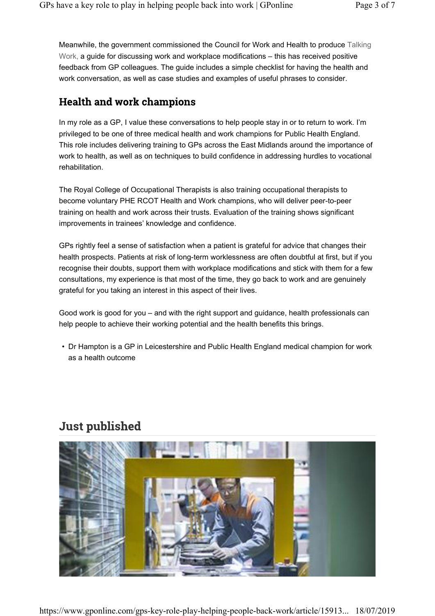Meanwhile, the government commissioned the Council for Work and Health to produce Talking Work, a guide for discussing work and workplace modifications – this has received positive feedback from GP colleagues. The guide includes a simple checklist for having the health and work conversation, as well as case studies and examples of useful phrases to consider.

#### **Health and work champions**

In my role as a GP, I value these conversations to help people stay in or to return to work. I'm privileged to be one of three medical health and work champions for Public Health England. This role includes delivering training to GPs across the East Midlands around the importance of work to health, as well as on techniques to build confidence in addressing hurdles to vocational rehabilitation.

The Royal College of Occupational Therapists is also training occupational therapists to become voluntary PHE RCOT Health and Work champions, who will deliver peer-to-peer training on health and work across their trusts. Evaluation of the training shows significant improvements in trainees' knowledge and confidence.

GPs rightly feel a sense of satisfaction when a patient is grateful for advice that changes their health prospects. Patients at risk of long-term worklessness are often doubtful at first, but if you recognise their doubts, support them with workplace modifications and stick with them for a few consultations, my experience is that most of the time, they go back to work and are genuinely grateful for you taking an interest in this aspect of their lives.

Good work is good for you – and with the right support and guidance, health professionals can help people to achieve their working potential and the health benefits this brings.

• Dr Hampton is a GP in Leicestershire and Public Health England medical champion for work as a health outcome

## **Just published**



https://www.gponline.com/gps-key-role-play-helping-people-back-work/article/15913... 18/07/2019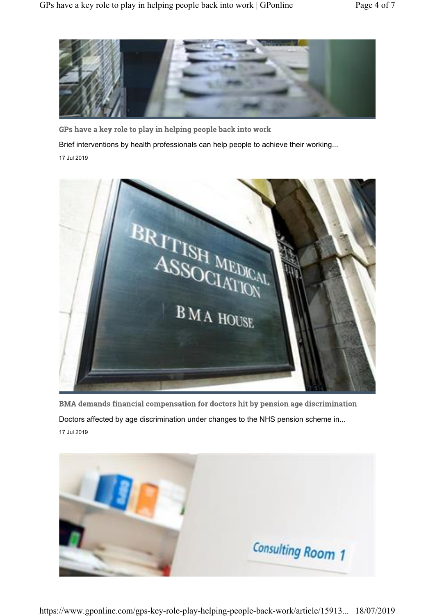

GPs have a key role to play in helping people back into work

Brief interventions by health professionals can help people to achieve their working...

17 Jul 2019



BMA demands financial compensation for doctors hit by pension age discrimination Doctors affected by age discrimination under changes to the NHS pension scheme in... 17 Jul 2019

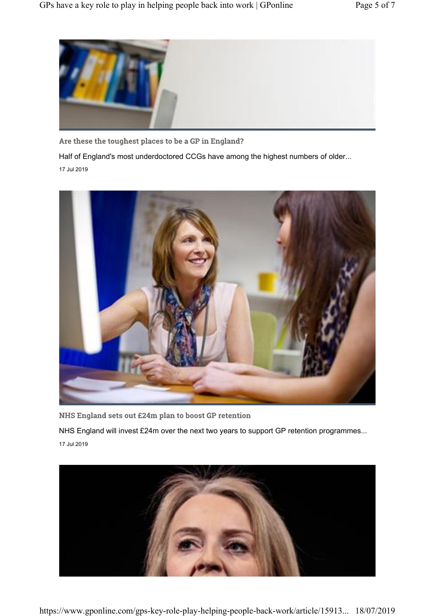

Are these the toughest places to be a GP in England?

Half of England's most underdoctored CCGs have among the highest numbers of older...

17 Jul 2019



NHS England sets out £24m plan to boost GP retention

NHS England will invest £24m over the next two years to support GP retention programmes... 17 Jul 2019